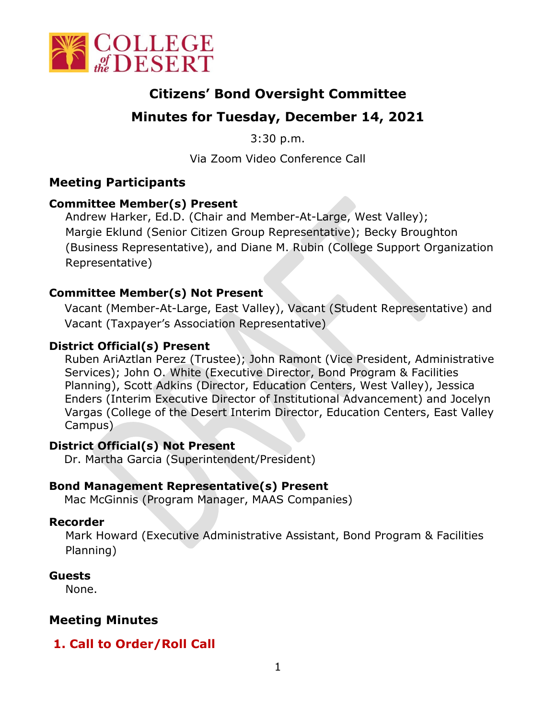

# **Citizens' Bond Oversight Committee**

# **Minutes for Tuesday, December 14, 2021**

3:30 p.m.

Via Zoom Video Conference Call

# **Meeting Participants**

## **Committee Member(s) Present**

Andrew Harker, Ed.D. (Chair and Member-At-Large, West Valley); Margie Eklund (Senior Citizen Group Representative); Becky Broughton (Business Representative), and Diane M. Rubin (College Support Organization Representative)

#### **Committee Member(s) Not Present**

Vacant (Member-At-Large, East Valley), Vacant (Student Representative) and Vacant (Taxpayer's Association Representative)

#### **District Official(s) Present**

Ruben AriAztlan Perez (Trustee); John Ramont (Vice President, Administrative Services); John O. White (Executive Director, Bond Program & Facilities Planning), Scott Adkins (Director, Education Centers, West Valley), Jessica Enders (Interim Executive Director of Institutional Advancement) and Jocelyn Vargas (College of the Desert Interim Director, Education Centers, East Valley Campus)

## **District Official(s) Not Present**

Dr. Martha Garcia (Superintendent/President)

## **Bond Management Representative(s) Present**

Mac McGinnis (Program Manager, MAAS Companies)

#### **Recorder**

Mark Howard (Executive Administrative Assistant, Bond Program & Facilities Planning)

## **Guests**

None.

# **Meeting Minutes**

# **1. Call to Order/Roll Call**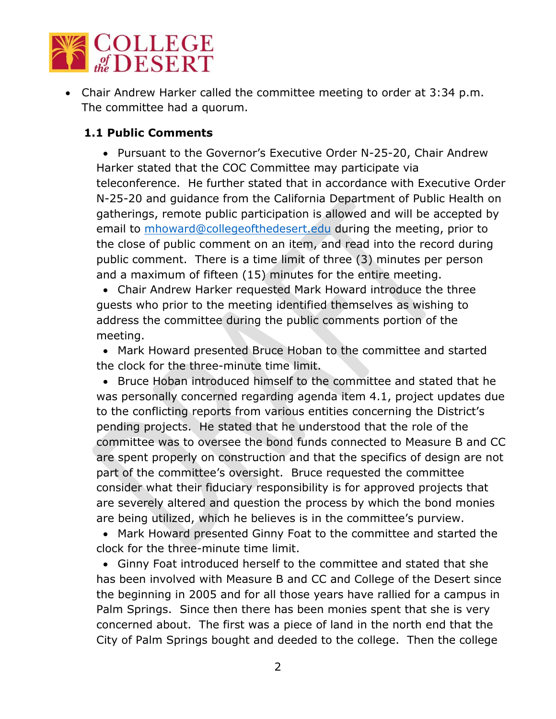

• Chair Andrew Harker called the committee meeting to order at 3:34 p.m. The committee had a quorum.

## **1.1 Public Comments**

• Pursuant to the Governor's Executive Order N-25-20, Chair Andrew Harker stated that the COC Committee may participate via teleconference. He further stated that in accordance with Executive Order N-25-20 and guidance from the California Department of Public Health on gatherings, remote public participation is allowed and will be accepted by email to [mhoward@collegeofthedesert.edu](mailto:mhoward@collegeofthedesert.edu) during the meeting, prior to the close of public comment on an item, and read into the record during public comment. There is a time limit of three (3) minutes per person and a maximum of fifteen (15) minutes for the entire meeting.

• Chair Andrew Harker requested Mark Howard introduce the three guests who prior to the meeting identified themselves as wishing to address the committee during the public comments portion of the meeting.

• Mark Howard presented Bruce Hoban to the committee and started the clock for the three-minute time limit.

• Bruce Hoban introduced himself to the committee and stated that he was personally concerned regarding agenda item 4.1, project updates due to the conflicting reports from various entities concerning the District's pending projects. He stated that he understood that the role of the committee was to oversee the bond funds connected to Measure B and CC are spent properly on construction and that the specifics of design are not part of the committee's oversight. Bruce requested the committee consider what their fiduciary responsibility is for approved projects that are severely altered and question the process by which the bond monies are being utilized, which he believes is in the committee's purview.

• Mark Howard presented Ginny Foat to the committee and started the clock for the three-minute time limit.

• Ginny Foat introduced herself to the committee and stated that she has been involved with Measure B and CC and College of the Desert since the beginning in 2005 and for all those years have rallied for a campus in Palm Springs. Since then there has been monies spent that she is very concerned about. The first was a piece of land in the north end that the City of Palm Springs bought and deeded to the college. Then the college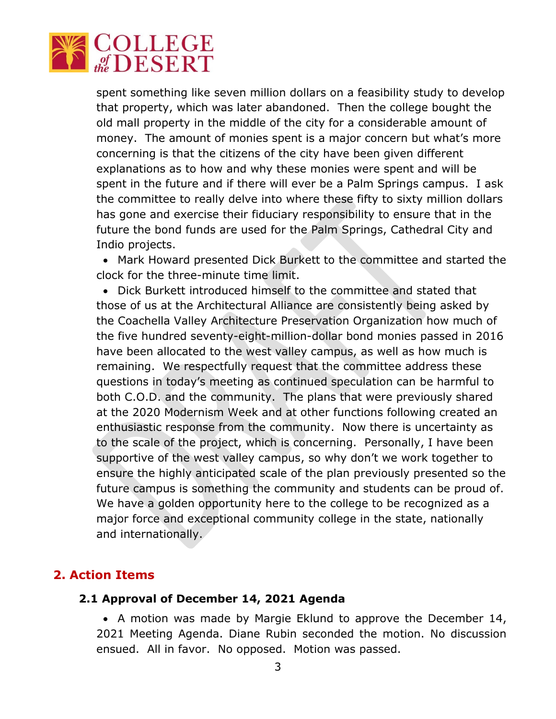

spent something like seven million dollars on a feasibility study to develop that property, which was later abandoned. Then the college bought the old mall property in the middle of the city for a considerable amount of money. The amount of monies spent is a major concern but what's more concerning is that the citizens of the city have been given different explanations as to how and why these monies were spent and will be spent in the future and if there will ever be a Palm Springs campus. I ask the committee to really delve into where these fifty to sixty million dollars has gone and exercise their fiduciary responsibility to ensure that in the future the bond funds are used for the Palm Springs, Cathedral City and Indio projects.

• Mark Howard presented Dick Burkett to the committee and started the clock for the three-minute time limit.

• Dick Burkett introduced himself to the committee and stated that those of us at the Architectural Alliance are consistently being asked by the Coachella Valley Architecture Preservation Organization how much of the five hundred seventy-eight-million-dollar bond monies passed in 2016 have been allocated to the west valley campus, as well as how much is remaining. We respectfully request that the committee address these questions in today's meeting as continued speculation can be harmful to both C.O.D. and the community. The plans that were previously shared at the 2020 Modernism Week and at other functions following created an enthusiastic response from the community. Now there is uncertainty as to the scale of the project, which is concerning. Personally, I have been supportive of the west valley campus, so why don't we work together to ensure the highly anticipated scale of the plan previously presented so the future campus is something the community and students can be proud of. We have a golden opportunity here to the college to be recognized as a major force and exceptional community college in the state, nationally and internationally.

## **2. Action Items**

#### **2.1 Approval of December 14, 2021 Agenda**

• A motion was made by Margie Eklund to approve the December 14, 2021 Meeting Agenda. Diane Rubin seconded the motion. No discussion ensued. All in favor. No opposed. Motion was passed.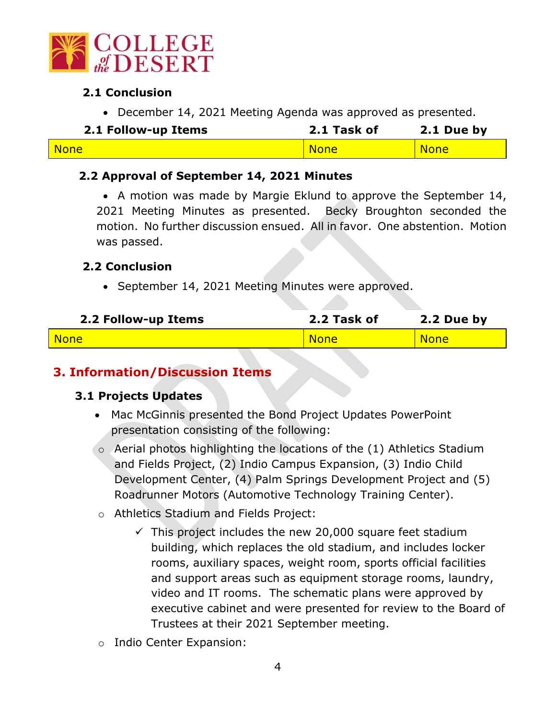

## **2.1 Conclusion**

• December 14, 2021 Meeting Agenda was approved as presented.

| 2.1 Follow-up Items | 2.1 Task of | 2.1 Due by  |
|---------------------|-------------|-------------|
| <b>None</b>         | <b>None</b> | <b>None</b> |

## **2.2 Approval of September 14, 2021 Minutes**

• A motion was made by Margie Eklund to approve the September 14, 2021 Meeting Minutes as presented. Becky Broughton seconded the motion. No further discussion ensued. All in favor. One abstention. Motion was passed.

#### **2.2 Conclusion**

• September 14, 2021 Meeting Minutes were approved.

| 2.2 Follow-up Items | 2.2 Task of | 2.2 Due by  |
|---------------------|-------------|-------------|
| <b>None</b>         | <b>None</b> | <b>None</b> |

## **3. Information/Discussion Items**

## **3.1 Projects Updates**

- Mac McGinnis presented the Bond Project Updates PowerPoint presentation consisting of the following:
- $\circ$  Aerial photos highlighting the locations of the  $(1)$  Athletics Stadium and Fields Project, (2) Indio Campus Expansion, (3) Indio Child Development Center, (4) Palm Springs Development Project and (5) Roadrunner Motors (Automotive Technology Training Center).
- o Athletics Stadium and Fields Project:
	- $\checkmark$  This project includes the new 20,000 square feet stadium building, which replaces the old stadium, and includes locker rooms, auxiliary spaces, weight room, sports official facilities and support areas such as equipment storage rooms, laundry, video and IT rooms. The schematic plans were approved by executive cabinet and were presented for review to the Board of Trustees at their 2021 September meeting.
- o Indio Center Expansion: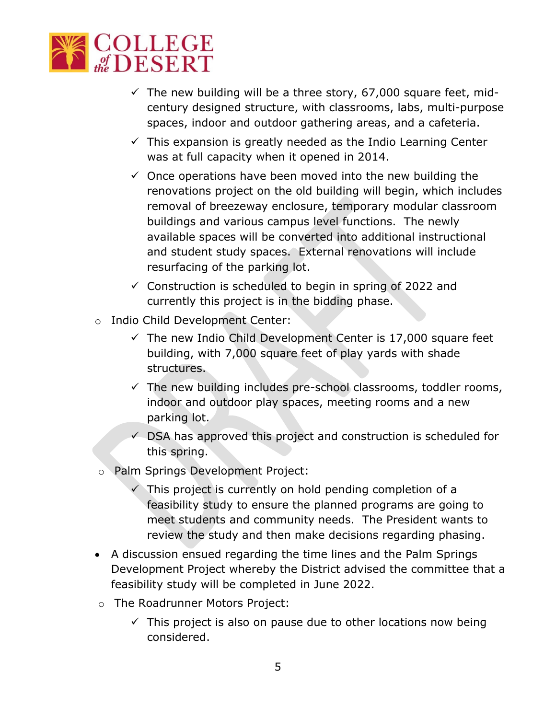

- $\checkmark$  The new building will be a three story, 67,000 square feet, midcentury designed structure, with classrooms, labs, multi-purpose spaces, indoor and outdoor gathering areas, and a cafeteria.
- $\checkmark$  This expansion is greatly needed as the Indio Learning Center was at full capacity when it opened in 2014.
- $\checkmark$  Once operations have been moved into the new building the renovations project on the old building will begin, which includes removal of breezeway enclosure, temporary modular classroom buildings and various campus level functions. The newly available spaces will be converted into additional instructional and student study spaces. External renovations will include resurfacing of the parking lot.
- $\checkmark$  Construction is scheduled to begin in spring of 2022 and currently this project is in the bidding phase.
- o Indio Child Development Center:
	- $\checkmark$  The new Indio Child Development Center is 17,000 square feet building, with 7,000 square feet of play yards with shade structures.
	- $\checkmark$  The new building includes pre-school classrooms, toddler rooms, indoor and outdoor play spaces, meeting rooms and a new parking lot.
	- $\checkmark$  DSA has approved this project and construction is scheduled for this spring.
- o Palm Springs Development Project:
	- $\checkmark$  This project is currently on hold pending completion of a feasibility study to ensure the planned programs are going to meet students and community needs. The President wants to review the study and then make decisions regarding phasing.
- A discussion ensued regarding the time lines and the Palm Springs Development Project whereby the District advised the committee that a feasibility study will be completed in June 2022.
- o The Roadrunner Motors Project:
	- $\checkmark$  This project is also on pause due to other locations now being considered.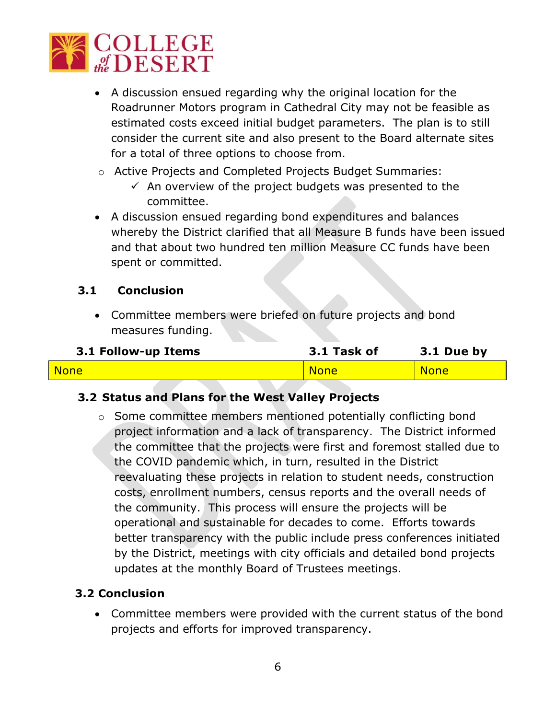

- A discussion ensued regarding why the original location for the Roadrunner Motors program in Cathedral City may not be feasible as estimated costs exceed initial budget parameters. The plan is to still consider the current site and also present to the Board alternate sites for a total of three options to choose from.
- o Active Projects and Completed Projects Budget Summaries:
	- $\checkmark$  An overview of the project budgets was presented to the committee.
- A discussion ensued regarding bond expenditures and balances whereby the District clarified that all Measure B funds have been issued and that about two hundred ten million Measure CC funds have been spent or committed.

## **3.1 Conclusion**

• Committee members were briefed on future projects and bond measures funding.

| 3.1 Follow-up Items | 3.1 Task of | 3.1 Due by  |
|---------------------|-------------|-------------|
| <b>None</b>         | <b>None</b> | <b>None</b> |

## **3.2 Status and Plans for the West Valley Projects**

o Some committee members mentioned potentially conflicting bond project information and a lack of transparency. The District informed the committee that the projects were first and foremost stalled due to the COVID pandemic which, in turn, resulted in the District reevaluating these projects in relation to student needs, construction costs, enrollment numbers, census reports and the overall needs of the community. This process will ensure the projects will be operational and sustainable for decades to come. Efforts towards better transparency with the public include press conferences initiated by the District, meetings with city officials and detailed bond projects updates at the monthly Board of Trustees meetings.

## **3.2 Conclusion**

• Committee members were provided with the current status of the bond projects and efforts for improved transparency.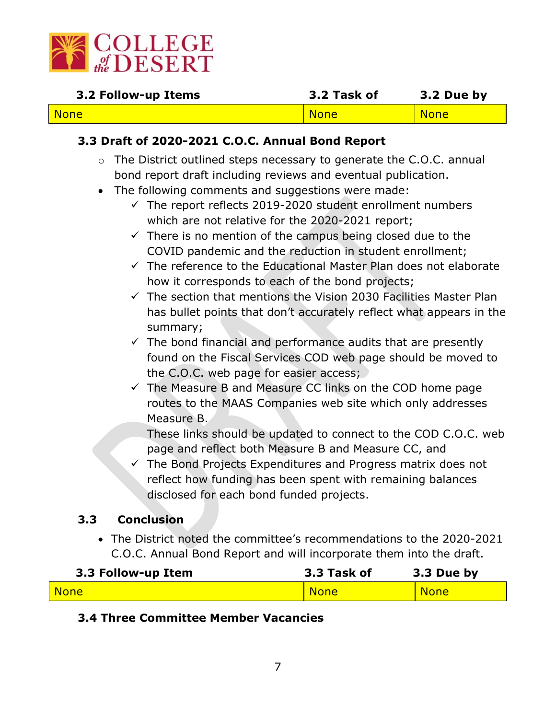

| 3.2 Follow-up Items | 3.2 Task of | 3.2 Due by  |
|---------------------|-------------|-------------|
| <b>None</b>         | <b>None</b> | <b>None</b> |

## **3.3 Draft of 2020-2021 C.O.C. Annual Bond Report**

- o The District outlined steps necessary to generate the C.O.C. annual bond report draft including reviews and eventual publication.
- The following comments and suggestions were made:
	- $\checkmark$  The report reflects 2019-2020 student enrollment numbers which are not relative for the 2020-2021 report;
	- $\checkmark$  There is no mention of the campus being closed due to the COVID pandemic and the reduction in student enrollment;
	- $\checkmark$  The reference to the Educational Master Plan does not elaborate how it corresponds to each of the bond projects;
	- $\checkmark$  The section that mentions the Vision 2030 Facilities Master Plan has bullet points that don't accurately reflect what appears in the summary;
	- $\checkmark$  The bond financial and performance audits that are presently found on the Fiscal Services COD web page should be moved to the C.O.C. web page for easier access;
	- $\checkmark$  The Measure B and Measure CC links on the COD home page routes to the MAAS Companies web site which only addresses Measure B.

These links should be updated to connect to the COD C.O.C. web page and reflect both Measure B and Measure CC, and

 $\checkmark$  The Bond Projects Expenditures and Progress matrix does not reflect how funding has been spent with remaining balances disclosed for each bond funded projects.

#### **3.3 Conclusion**

• The District noted the committee's recommendations to the 2020-2021 C.O.C. Annual Bond Report and will incorporate them into the draft.

| 3.3 Follow-up Item | 3.3 Task of | 3.3 Due by  |
|--------------------|-------------|-------------|
| None               | <b>None</b> | <b>None</b> |

## **3.4 Three Committee Member Vacancies**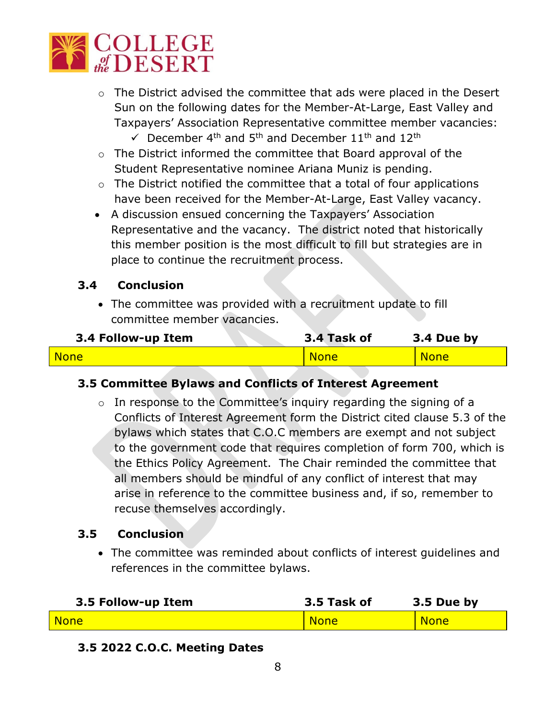

- o The District advised the committee that ads were placed in the Desert Sun on the following dates for the Member-At-Large, East Valley and Taxpayers' Association Representative committee member vacancies:
	- $\checkmark$  December 4<sup>th</sup> and 5<sup>th</sup> and December 11<sup>th</sup> and 12<sup>th</sup>
- o The District informed the committee that Board approval of the Student Representative nominee Ariana Muniz is pending.
- $\circ$  The District notified the committee that a total of four applications have been received for the Member-At-Large, East Valley vacancy.
- A discussion ensued concerning the Taxpayers' Association Representative and the vacancy. The district noted that historically this member position is the most difficult to fill but strategies are in place to continue the recruitment process.

#### **3.4 Conclusion**

• The committee was provided with a recruitment update to fill committee member vacancies.

| 3.4 Follow-up Item | 3.4 Task of | 3.4 Due by  |
|--------------------|-------------|-------------|
| <b>None</b>        | <b>None</b> | <b>None</b> |

#### **3.5 Committee Bylaws and Conflicts of Interest Agreement**

o In response to the Committee's inquiry regarding the signing of a Conflicts of Interest Agreement form the District cited clause 5.3 of the bylaws which states that C.O.C members are exempt and not subject to the government code that requires completion of form 700, which is the Ethics Policy Agreement. The Chair reminded the committee that all members should be mindful of any conflict of interest that may arise in reference to the committee business and, if so, remember to recuse themselves accordingly.

#### **3.5 Conclusion**

• The committee was reminded about conflicts of interest guidelines and references in the committee bylaws.

| 3.5 Follow-up Item | 3.5 Task of | 3.5 Due by  |
|--------------------|-------------|-------------|
| None               | <b>None</b> | <b>None</b> |

# **3.5 2022 C.O.C. Meeting Dates**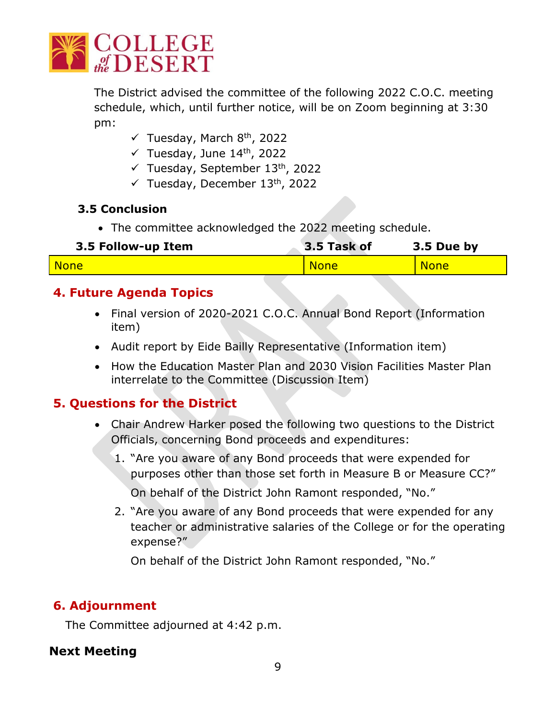

The District advised the committee of the following 2022 C.O.C. meeting schedule, which, until further notice, will be on Zoom beginning at 3:30 pm:

- $\checkmark$  Tuesday, March 8<sup>th</sup>, 2022
- $\checkmark$  Tuesday, June 14<sup>th</sup>, 2022
- $\checkmark$  Tuesday, September 13<sup>th</sup>, 2022
- $\checkmark$  Tuesday, December 13<sup>th</sup>, 2022

## **3.5 Conclusion**

• The committee acknowledged the 2022 meeting schedule.

| 3.5 Follow-up Item | 3.5 Task of | 3.5 Due by  |
|--------------------|-------------|-------------|
| <b>None</b>        | <b>None</b> | <b>None</b> |

# **4. Future Agenda Topics**

- Final version of 2020-2021 C.O.C. Annual Bond Report (Information item)
- Audit report by Eide Bailly Representative (Information item)
- How the Education Master Plan and 2030 Vision Facilities Master Plan interrelate to the Committee (Discussion Item)

# **5. Questions for the District**

- Chair Andrew Harker posed the following two questions to the District Officials, concerning Bond proceeds and expenditures:
	- 1. "Are you aware of any Bond proceeds that were expended for purposes other than those set forth in Measure B or Measure CC?" On behalf of the District John Ramont responded, "No."
	- 2. "Are you aware of any Bond proceeds that were expended for any teacher or administrative salaries of the College or for the operating expense?"

On behalf of the District John Ramont responded, "No."

# **6. Adjournment**

The Committee adjourned at 4:42 p.m.

## **Next Meeting**